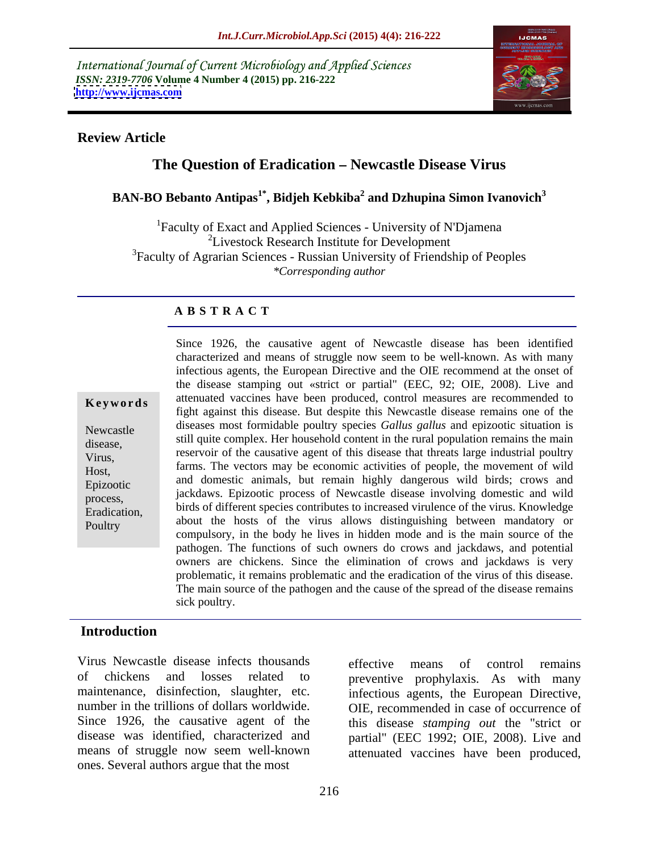International Journal of Current Microbiology and Applied Sciences *ISSN: 2319-7706* **Volume 4 Number 4 (2015) pp. 216-222 <http://www.ijcmas.com>**



#### **Review Article**

# The Question of Eradication - Newcastle Disease Virus

## **BAN-BO Bebanto Antipas1\* , Bidjeh Kebkiba2 and Dzhupina Simon Ivanovich<sup>3</sup>**

<sup>1</sup>Faculty of Exact and Applied Sciences - University of N'Djamena <sup>2</sup>Livestock Research Institute for Development <sup>3</sup>Faculty of Agrarian Sciences - Russian University of Friendship of Peoples *\*Corresponding author*

### **A B S T R A C T**

**Poultry** 

Since 1926, the causative agent of Newcastle disease has been identified characterized and means of struggle now seem to be well-known. As with many infectious agents, the European Directive and the OIE recommend at the onset of the disease stamping out «strict or partial" (EEC, 92; OIE, 2008). Live and **Keywords** attenuated vaccines have been produced, control measures are recommended to fight against this disease. But despite this Newcastle disease remains one of the Newcastle diseases most formidable poultry species *Gallus gallus* and epizootic situation is still quite complex. Her household content in the rural population remains the main disease, reservoir of the causative agent of this disease that threats large industrial poultry Virus, farms. The vectors may be economic activities of people, the movement of wild Host, and domestic animals, but remain highly dangerous wild birds; crows and Epizootic jackdaws. Epizootic process of Newcastle disease involving domestic and wild process, birds of different species contributes to increased virulence of the virus. Knowledge Eradication, about the hosts of the virus allows distinguishing between mandatory or compulsory, in the body he lives in hidden mode and is the main source of the pathogen. The functions of such owners do crows and jackdaws, and potential owners are chickens. Since the elimination of crows and jackdaws is very problematic, it remains problematic and the eradication of the virus of this disease. The main source of the pathogen and the cause of the spread of the disease remains sick poultry.

### **Introduction**

Virus Newcastle disease infects thousands effective means of control remains of chickens and losses related to preventive prophylaxis. As with many maintenance, disinfection, slaughter, etc. infectious agents, the European Directive, number in the trillions of dollars worldwide. OIE, recommended in case of occurrence of Since 1926, the causative agent of the this disease *stamping out* the "strict or disease was identified, characterized and partial" (EEC 1992; OIE, 2008). Live and means of struggle now seem well-known attenuated vaccines have been produced, ones. Several authors argue that the most

effective means of control remains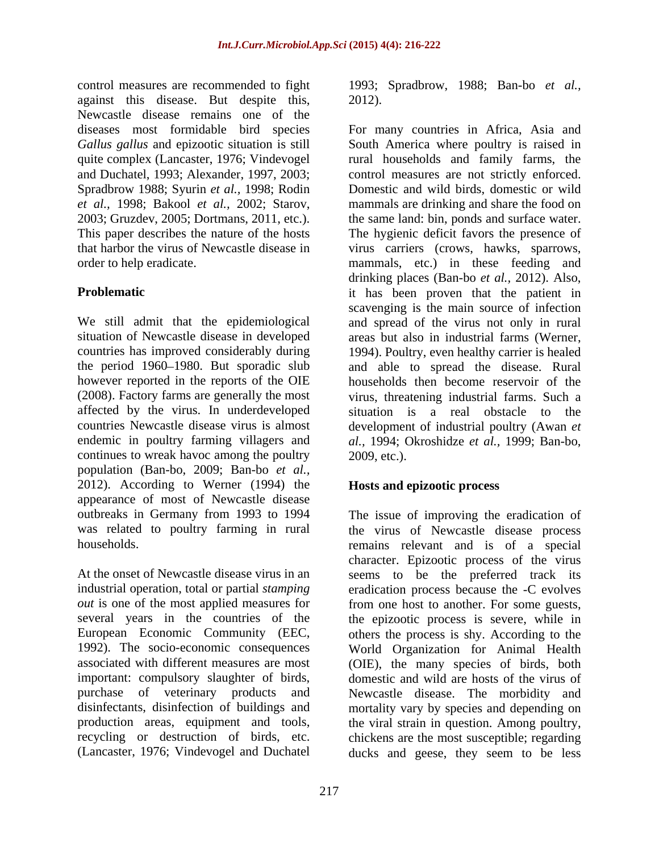control measures are recommended to fight 1993; Spradbrow, 1988; Ban-bo *et al.,* against this disease. But despite this, Newcastle disease remains one of the and Duchatel, 1993; Alexander,1997, 2003; Spradbrow 1988; Syurin *et al.,* 1998; Rodin

affected by the virus. In underdeveloped continues to wreak havoc among the poultry 2009, etc.). population (Ban-bo, 2009; Ban-bo *et al.,* 2012). According to Werner (1994) the appearance of most of Newcastle disease

At the onset of Newcastle disease virus in an seems to be the preferred track its industrial operation, total or partial *stamping*  eradication process because the -C evolves *out* is one of the most applied measures for from one host to another. For some guests, several years in the countries of the the epizootic process is severe, while in European Economic Community (EEC, others the process is shy. According to the 1992). The socio-economic consequences World Organization for Animal Health associated with different measures are most (OIE), the many species of birds, both important: compulsory slaughter of birds, domestic and wild are hosts of the virus of purchase of veterinary products and Newcastle disease. The morbidity and disinfectants, disinfection of buildings and mortality vary by species and depending on production areas, equipment and tools, the viral strain in question. Among poultry, recycling or destruction of birds, etc. chickens are the most susceptible; regarding (Lancaster, 1976; Vindevogel and Duchatel ducks and geese, they seem to be less

2012).

diseases most formidable bird species For many countries in Africa, Asia and *Gallus gallus* and epizootic situation is still South America where poultry is raised in quite complex (Lancaster, 1976; Vindevogel rural households and family farms, the *et al.,* 1998; Bakool *et al.,* 2002; Starov, mammals are drinking and share the food on 2003; Gruzdev, 2005; Dortmans, 2011, etc.). the same land: bin, ponds and surface water. This paper describes the nature of the hosts The hygienic deficit favors the presence of that harbor the virus of Newcastle disease in virus carriers (crows, hawks, sparrows, order to help eradicate. mammals, etc.) in these feeding and **Problematic it has been proven that the patient in** We still admit that the epidemiological and spread of the virus not only in rural situation of Newcastle disease in developed areas but also in industrial farms (Werner, countries has improved considerably during 1994). Poultry, even healthy carrier is healed the period 1960–1980. But sporadic slub and able to spread the disease. Rural however reported in the reports of the OIE households then become reservoir of the (2008). Factory farms are generally themost virus, threatening industrial farms. Such a countries Newcastle disease virus is almost development of industrial poultry (Awan *et*  endemic in poultry farming villagers and *al.,* 1994; Okroshidze *et al.,* 1999; Ban-bo, control measures are not strictly enforced. Domestic and wild birds, domestic or wild drinking places (Ban-bo *et al.,* 2012). Also, scavenging is the main source of infection situation is a real obstacle to the 2009, etc.).

## **Hosts and epizootic process**

outbreaks in Germany from 1993 to 1994 The issue of improving the eradication of was related to poultry farming in rural the virus of Newcastle disease process households. remains relevant and is of a special character. Epizootic process of the virus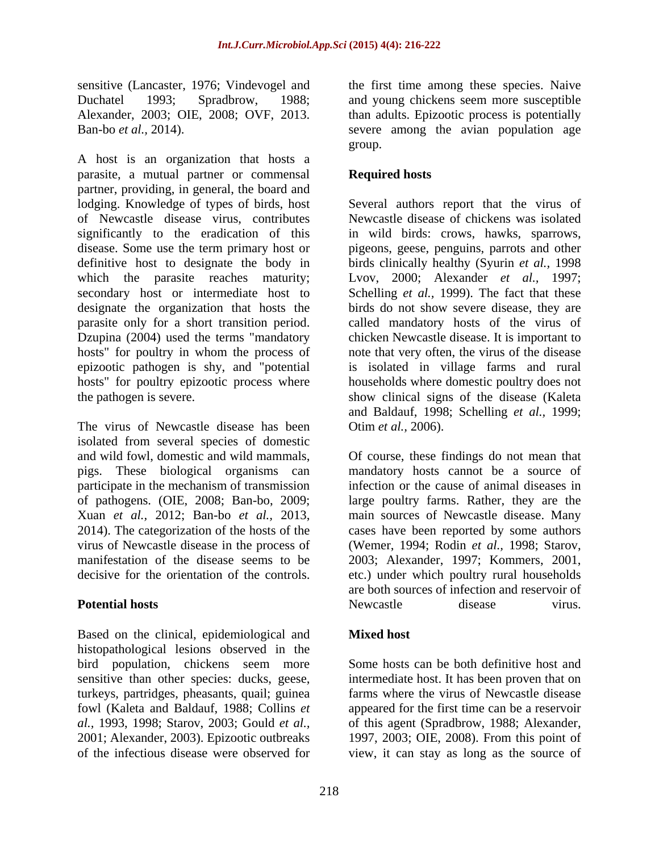A host is an organization that hosts a parasite, a mutual partner or commensal partner, providing, in general, the board and lodging. Knowledge of types of birds, host Several authors report that the virus of of Newcastle disease virus, contributes Newcastle disease of chickens was isolated significantly to the eradication of this in wild birds: crows, hawks, sparrows, disease. Some use the term primary host or pigeons, geese, penguins, parrots and other definitive host to designate the body in birds clinically healthy (Syurin *et al.,* 1998 which the parasite reaches maturity; Lvov, 2000; Alexander *et al.,* 1997; secondary host or intermediate host to Schelling *et al.*, 1999). The fact that these designate the organization that hosts the birds do not show severe disease, they are parasite only for a short transition period. called mandatory hosts of the virus of Dzupina (2004) used the terms "mandatory hosts" for poultry in whom the process of note that very often, the virus of the disease epizootic pathogen is shy, and "potential is isolated in village farms and rural hosts" for poultry epizootic process where households where domestic poultry does not the pathogen is severe. show clinical signs of the disease (Kaleta

The virus of Newcastle disease has been isolated from several species of domestic pigs. These biological organisms can

Based on the clinical, epidemiological and **Mixed host** histopathological lesions observed in the bird population, chickens seem more Some hosts can be both definitive host and sensitive than other species: ducks, geese, intermediate host. It has been proven that on turkeys, partridges, pheasants, quail; guinea fowl (Kaleta and Baldauf, 1988; Collins *et*  appeared for the first time can be a reservoir *al.,* 1993, 1998; Starov, 2003; Gould *et al.,* of this agent (Spradbrow, 1988; Alexander, 2001; Alexander, 2003). Epizootic outbreaks 1997, 2003; OIE, 2008). From this point of

sensitive (Lancaster, 1976; Vindevogel and the first time among these species. Naive Duchatel 1993; Spradbrow, 1988; and young chickens seem more susceptible Alexander, 2003; OIE, 2008; OVF, 2013. than adults. Epizootic process is potentially Ban-bo *et al.*, 2014). Severe among the avian population age group. The contract of the contract of the contract of the contract of the contract of the contract of the contract of the contract of the contract of the contract of the contract of the contract of the contract of the con

## **Required hosts**

chicken Newcastle disease. It is important to and Baldauf, 1998; Schelling *et al.,* 1999; Otim *et al.,* 2006).

and wild fowl, domestic and wild mammals, Of course, these findings do not mean that participate in the mechanism of transmission infection or the cause of animal diseases in of pathogens. (OIE, 2008; Ban-bo, 2009; large poultry farms. Rather, they are the Xuan *et al.*, 2012; Ban-bo *et al.*, 2013, main sources of Newcastle disease. Many 2014). The categorization of the hosts of the cases have been reported by some authors virus of Newcastle disease in the process of (Wemer, 1994; Rodin *et al.*, 1998; Starov, manifestation of the disease seems to be 2003; Alexander, 1997; Kommers, 2001, decisive for the orientation of the controls. etc.) under which poultry rural households **Potential hosts Potential hosts Potential hosts Potential hosts Potential hosts Potential Poster Poiet 1** mandatory hosts cannot be a source of main sources of Newcastle disease. Many cases have been reported by some authors are both sources of infection and reservoir of Newcastle disease virus.

## **Mixed host**

of the infectious disease were observed for view, it can stay as long as the source ofSome hosts can be both definitive host and farms where the virus of Newcastle disease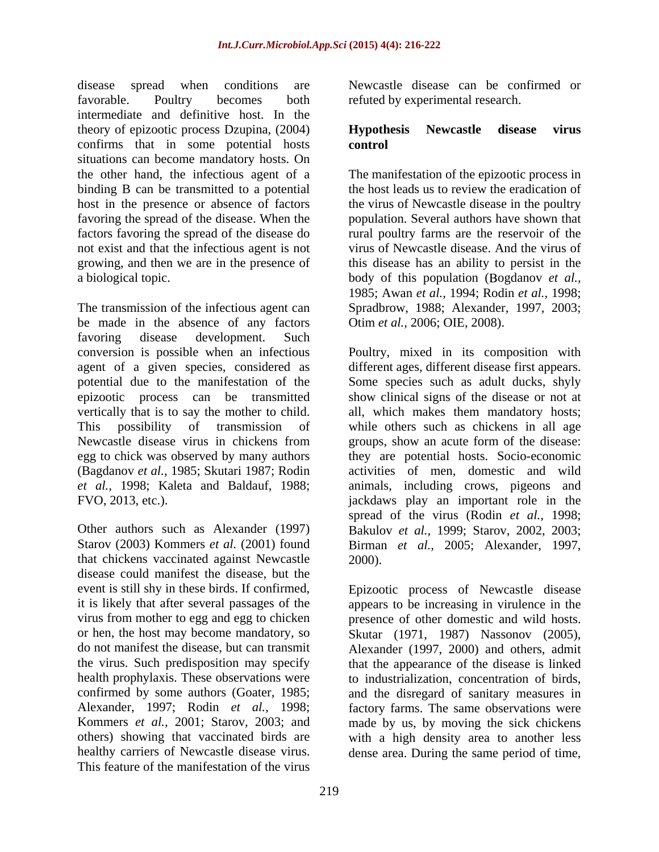disease spread when conditions are Newcastle disease can be confirmed or favorable. Poultry becomes both refuted by experimental research. intermediate and definitive host. In the theory of epizootic process Dzupina, (2004) **Hypothesis** Newcastle disease virus confirms that in some potential hosts situations can become mandatory hosts. On the other hand, the infectious agent of a The manifestation of the epizootic process in binding B can be transmitted to a potential host in the presence or absence of factors favoring the spread of the disease. When the population. Several authors have shown that factors favoring the spread of the disease do rural poultry farms are the reservoir of the not exist and that the infectious agent is not growing, and then we are in the presence of this disease has an ability to persist in the a biological topic. The body of this population (Bogdanov *et al.,* 

The transmission of the infectious agent can Spradbrow, 1988; Alexander, 1997, 2003; be made in the absence of any factors favoring disease development. Such conversion is possible when an infectious Poultry, mixed in its composition with agent of a given species, considered as different ages, different disease first appears. potential due to the manifestation of the Some species such as adult ducks, shyly epizootic process can be transmitted show clinical signs of the disease or not at vertically that is to say the mother to child. This possibility of transmission of while others such as chickens in all age Newcastle disease virus in chickens from groups, show an acute form of the disease: egg to chick was observed by many authors they are potential hosts. Socio-economic (Bagdanov *et al.,* 1985; Skutari 1987; Rodin activities of men, domestic and wild *et al.,* 1998; Kaleta and Baldauf, 1988; animals, including crows, pigeons and FVO, 2013, etc.). jackdaws play an important role in the

that chickens vaccinated against Newcastle disease could manifest the disease, but the it is likely that after several passages of the the virus. Such predisposition may specify This feature of the manifestation of the virus

#### **Hypothesis Newcastle disease virus control**

the host leads us to review the eradication of the virus of Newcastle disease in the poultry virus of Newcastle disease. And the virus of 1985; Awan *et al.,* 1994; Rodin *et al.,* 1998; Otim *et al.,* 2006; OIE, 2008).

Other authors such as Alexander (1997) Bakulov *et al.,* 1999; Starov, 2002, 2003; Starov (2003) Kommers *et al.* (2001) found Birman *et al.,* 2005; Alexander, 1997, all, which makes them mandatory hosts; spread of the virus (Rodin *et al.,* 1998; 2000).

event is still shy in these birds. If confirmed, Epizootic process of Newcastle disease virus from mother to egg and egg to chicken presence of other domestic and wild hosts. or hen, the host may become mandatory, so Skutar (1971, 1987) Nassonov (2005), do not manifest the disease, but can transmit Alexander (1997, 2000) and others, admit health prophylaxis. These observations were to industrialization, concentration of birds, confirmed by some authors (Goater, 1985; and the disregard of sanitary measures in Alexander, 1997; Rodin *et al.,* 1998; factory farms. The same observations were Kommers *et al.,* 2001; Starov, 2003; and made by us, by moving the sick chickens others) showing that vaccinated birds are with a high density area to another less healthy carriers of Newcastle disease virus. dense area. During the same period of time,appears to be increasing in virulence in the that the appearance of the disease is linked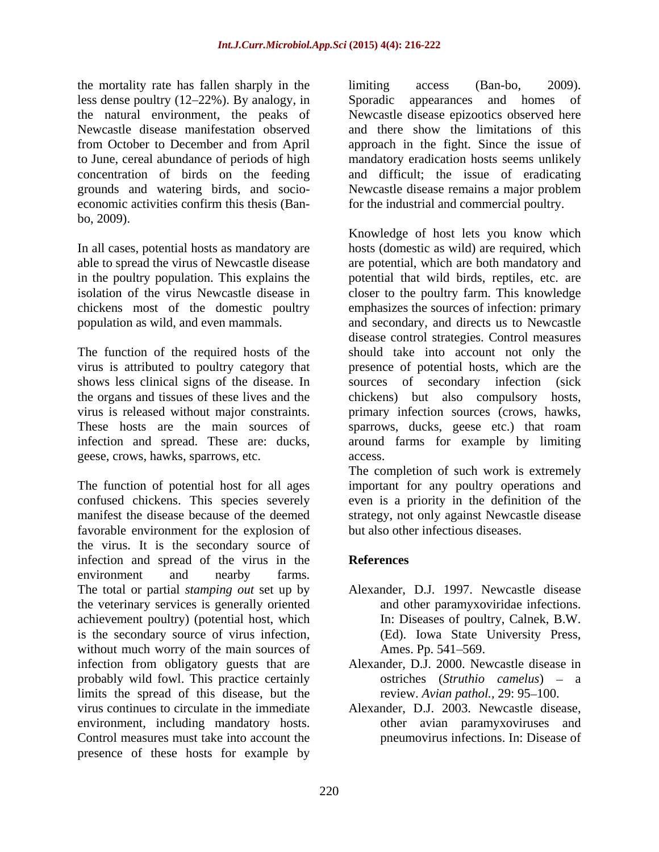the mortality rate has fallen sharply in the limiting access (Ban-bo, 2009). less dense poultry (12–22%). By analogy, in Sporadic appearances and homes of the natural environment, the peaks of Newcastle disease epizootics observed here Newcastle disease manifestation observed and there show the limitations of this from October to December and from April approach in the fight. Since the issue of to June, cereal abundance of periods of high mandatory eradication hosts seems unlikely concentration of birds on the feeding and difficult; the issue of eradicating grounds and watering birds, and socio- Newcastle disease remains a major problem economic activities confirm this thesis (Ban- for the industrial and commercial poultry. bo, 2009).

The function of the required hosts of the geese, crows, hawks, sparrows, etc.

The function of potential host for all ages favorable environment for the explosion of the virus. It is the secondary source of infection and spread of the virus in the References environment and nearby farms. The total or partial *stamping out* set up by the veterinary services is generally oriented achievement poultry) (potential host, which is the secondary source of virus infection, without much worry of the main sources of Ames. Pp. 541–569. infection from obligatory guests that are probably wild fowl. This practice certainly limits the spread of this disease, but the virus continues to circulate in the immediate Alexander, D.J. 2003. Newcastle disease, environment, including mandatory hosts. Control measures must take into account the presence of these hosts for example by

limiting access (Ban-bo, 2009). Sporadic appearances and homes of

In all cases, potential hosts as mandatory are hosts (domestic as wild) are required, which able to spread the virus of Newcastle disease are potential, which are both mandatory and in the poultry population. This explains the potential that wild birds, reptiles, etc. are isolation of the virus Newcastle disease in closer to the poultry farm. This knowledge chickens most of the domestic poultry emphasizes the sources of infection: primary population as wild, and even mammals. and secondary, and directs us to Newcastle virus is attributed to poultry category that presence of potential hosts, which are the shows less clinical signs of the disease. In sources of secondary infection (sick the organs and tissues of these lives and the chickens) but also compulsory hosts, virus is released without major constraints. primary infection sources (crows, hawks, These hosts are the main sources of sparrows, ducks, geese etc.) that roam infection and spread. These are: ducks, around farms for example by limiting Knowledge of host lets you know which disease control strategies. Control measures should take into account not only the access.

confused chickens. This species severely even is a priority in the definition of the manifest the disease because of the deemed strategy, not only against Newcastle disease The completion of such work is extremely important for any poultry operations and but also other infectious diseases.

## **References**

- Alexander, D.J. 1997. Newcastle disease and other paramyxoviridae infections. In: Diseases of poultry, Calnek, B.W. (Ed). Iowa State University Press, Ames. Pp. 541–569.
- Alexander, D.J. 2000. Newcastle disease in ostriches (*Struthio camelus*) – a review. *Avian pathol.*, 29: 95–100.
- other avian paramyxoviruses and pneumovirus infections. In: Disease of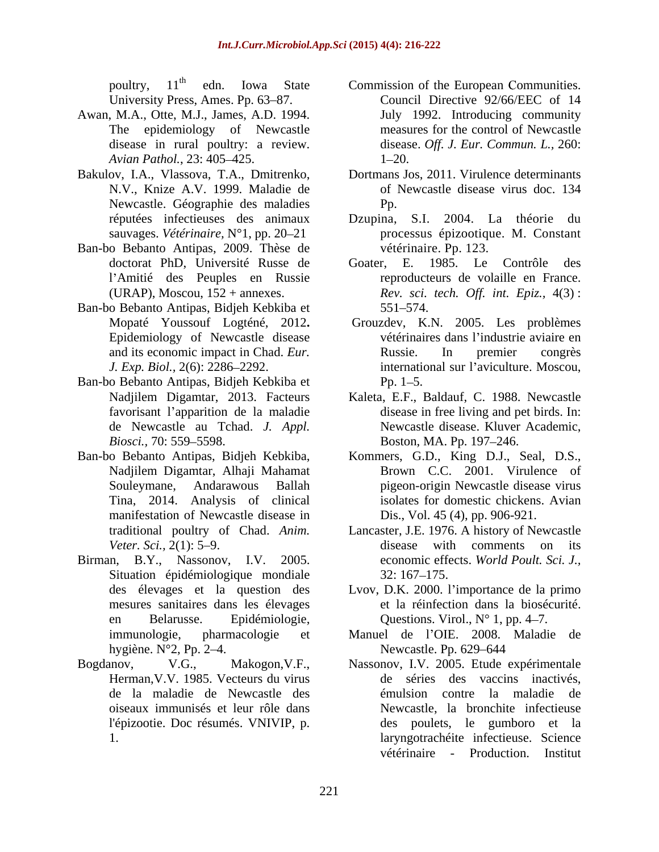- Awan, M.A., Otte, M.J., James, A.D. 1994. disease in rural poultry: a review.*Avian Pathol.*, 23: 405–425. 1–20.
- Bakulov, I.A., Vlassova, T.A., Dmitrenko, N.V., Knize A.V. 1999. Maladie de Newcastle. Géographie des maladies
- Ban-bo Bebanto Antipas, 2009. Thèse de
- Ban-bo Bebanto Antipas, Bidjeh Kebkiba et Epidemiology of Newcastle disease
- Ban-bo Bebanto Antipas, Bidjeh Kebkiba et favorisant l'apparition de la maladie *Biosci.,* 70: 559–5598. **Boston, MA. Pp. 197–246.**
- Tina, 2014. Analysis of clinical manifestation of Newcastle disease in
- Situation épidémiologique mondiale 32:167-175.
- Herman,V.V. 1985. Vecteurs du virus
- poultry, 11<sup>th</sup> edn. Iowa State Commission of the European Communities. University Press, Ames. Pp. 63–87. Council Directive 92/66/EEC of 14 The epidemiology of Newcastle measures for the control of Newcastle July 1992. Introducing community disease. *Of . J. Eur. Commun. L.,* 260:  $1 - 20.$ 
	- Dortmans Jos, 2011. Virulence determinants of Newcastle disease virus doc. 134 Pp.
- réputées infectieuses des animaux Dzupina, S.I. 2004. La théorie du sauvages. *Vétérinaire*, N°1, pp. 20–21 **comprehient de la processus épizootique. M. Constant** vétérinaire. Pp. 123.
- doctorat PhD, Université Russe de Goater, E. 1985. Le Contrôle des l'Amitié des Peuples en Russie bereproducteurs de volaille en France. (URAP), Moscou, 152 + annexes. *Rev. sci. tech. Of . int. Epiz.,* 4(3) : 551 574.
- Mopaté Youssouf Logténé, 2012**.** Grouzdev, K.N. 2005. Les problèmes and its economic impact in Chad. *Eur. J. Exp. Biol.,* 2(6): 2286–2292. **international sur l'aviculture.** Moscou, vétérinaires dans l'industrie aviaire en Russie. In premier congrès  $Pp. 1 - 5.$
- Nadjilem Digamtar, 2013. Facteurs Kaleta, E.F., Baldauf, C. 1988. Newcastle de Newcastle au Tchad. *J. Appl.* Newcastle disease. Kluver Academic, disease in free living and pet birds. In: Boston, MA. Pp. 197–246.
- Ban-bo Bebanto Antipas, Bidjeh Kebkiba, Kommers, G.D., King D.J., Seal, D.S., Nadjilem Digamtar, Alhaji Mahamat Brown C.C. 2001. Virulence of Souleymane, Andarawous Ballah pigeon-origin Newcastle disease virus isolates for domestic chickens. Avian Dis., Vol. 45 (4), pp. 906-921.
- traditional poultry of Chad. *Anim.*  Lancaster, J.E. 1976. A history of Newcastle Veter. Sci., 2(1): 5–9. **disease** with comments on its Birman, B.Y., Nassonov, I.V. 2005. economic effects. *World Poult. Sci. J.,* 32: 167 175.
	- des élevages et la question des Lvov, D.K. 2000. l'importance de la primo mesures sanitaires dans les élevages et la réinfection dans la biosécurité. en Belarusse. Epidémiologie, Questions. Virol., N° 1, pp. 4–7.
	- immunologie, pharmacologie et Manuel de l'OIE. 2008. Maladie de hygiène. N°2, Pp. 2–4. Newcastle. Pp. 629–644 Newcastle. Pp. 629–644
- Bogdanov, V.G., Makogon,V.F., Nassonov, I.V. 2005. Etude expérimentale de la maladie de Newcastle des émulsion contre la maladie de oiseaux immunisés et leur rôle dans Newcastle, la bronchite infectieuse l'épizootie. Doc résumés. VNIVIP, p. des poulets, le gumboro et la 1. laryngotrachéite infectieuse. Science de séries des vaccins inactivés, vétérinaire - Production. Institut